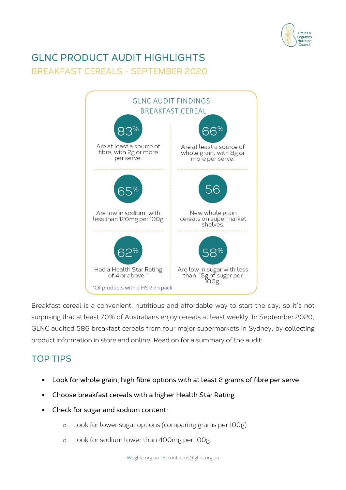

# GLNC PRODUCT AUDIT HIGHLIGHTS BREAKFAST CEREALS - SEPTEMBER 2020



Breakfast cereal is a convenient, nutritious and affordable way to start the day; so it's not surprising that at least 70% of Australians enjoy cereals at least weekly. In September 2020, GLNC audited 586 breakfast cereals from four major supermarkets in Sydney, by collecting product information in store and online. Read on for a summary of the audit:

# TOP TIPS

- Look for whole grain, high fibre options with at least 2 grams of fibre per serve.
- Choose breakfast cereals with a higher Health Star Rating
- Check for sugar and sodium content:
	- o Look for lower sugar options (comparing grams per 100g)
	- o Look for sodium lower than 400mg per 100g.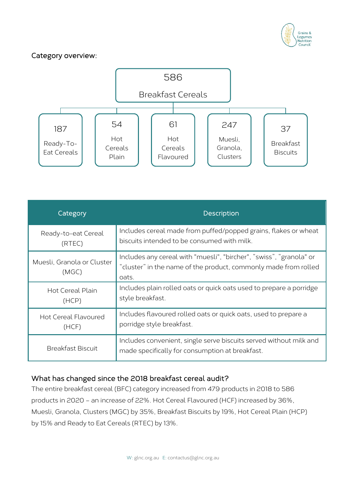

#### Category overview:



| Category                            | Description                                                                                                                                     |
|-------------------------------------|-------------------------------------------------------------------------------------------------------------------------------------------------|
| Ready-to-eat Cereal                 | Includes cereal made from puffed/popped grains, flakes or wheat                                                                                 |
| (RTEC)                              | biscuits intended to be consumed with milk.                                                                                                     |
| Muesli, Granola or Cluster<br>(MGC) | Includes any cereal with "muesli", "bircher", "swiss", "granola" or<br>"cluster" in the name of the product, commonly made from rolled<br>oats. |
| Hot Cereal Plain                    | Includes plain rolled oats or quick oats used to prepare a porridge                                                                             |
| (HCP)                               | style breakfast.                                                                                                                                |
| <b>Hot Cereal Flavoured</b>         | Includes flavoured rolled oats or quick oats, used to prepare a                                                                                 |
| (HCF)                               | porridge style breakfast.                                                                                                                       |
| <b>Breakfast Biscuit</b>            | Includes convenient, single serve biscuits served without milk and<br>made specifically for consumption at breakfast.                           |

# What has changed since the 2018 breakfast cereal audit?

The entire breakfast cereal (BFC) category increased from 479 products in 2018 to 586 products in 2020 – an increase of 22%. Hot Cereal Flavoured (HCF) increased by 36%, Muesli, Granola, Clusters (MGC) by 35%, Breakfast Biscuits by 19%, Hot Cereal Plain (HCP) by 15% and Ready to Eat Cereals (RTEC) by 13%.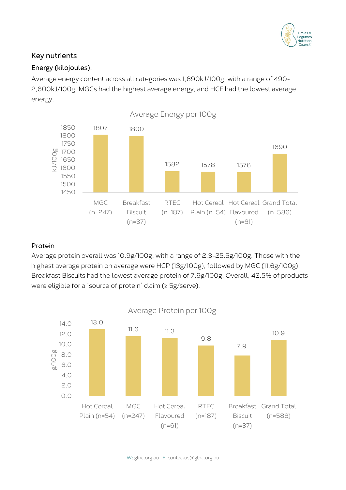

# Key nutrients

#### Energy (kilojoules):

Average energy content across all categories was 1,690kJ/100g, with a range of 490- 2,600kJ/100g. MGCs had the highest average energy, and HCF had the lowest average energy.



#### Protein

Average protein overall was 10.9g/100g, with a range of 2.3-25.5g/100g. Those with the highest average protein on average were HCP (13g/100g), followed by MGC (11.6g/100g). Breakfast Biscuits had the lowest average protein of 7.9g/100g. Overall, 42.5% of products were eligible for a 'source of protein' claim (≥ 5g/serve).

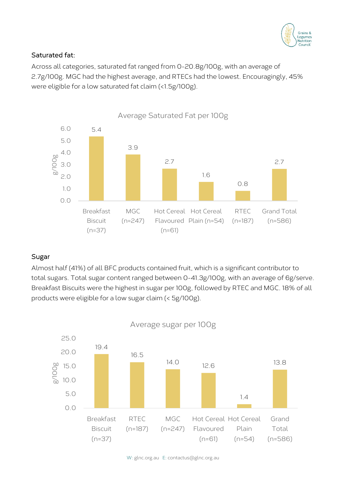

# Saturated fat:

Across all categories, saturated fat ranged from 0-20.8g/100g, with an average of 2.7g/100g. MGC had the highest average, and RTECs had the lowest. Encouragingly, 45% were eligible for a low saturated fat claim (<1.5g/100g).



#### Sugar

Almost half (41%) of all BFC products contained fruit, which is a significant contributor to total sugars. Total sugar content ranged between 0-41.3g/100g, with an average of 6g/serve. Breakfast Biscuits were the highest in sugar per 100g, followed by RTEC and MGC. 18% of all products were eligible for a low sugar claim (< 5g/100g).



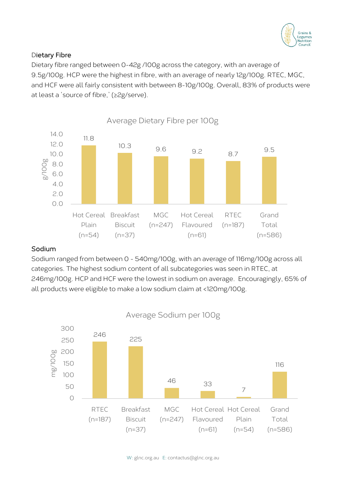

#### Dietary Fibre

Dietary fibre ranged between 0-42g /100g across the category, with an average of 9.5g/100g. HCP were the highest in fibre, with an average of nearly 12g/100g. RTEC, MGC, and HCF were all fairly consistent with between 8-10g/100g. Overall, 83% of products were at least a 'source of fibre,' (≥2g/serve).



#### Sodium

Sodium ranged from between 0 - 540mg/100g, with an average of 116mg/100g across all categories. The highest sodium content of all subcategories was seen in RTEC, at 246mg/100g. HCP and HCF were the lowest in sodium on average. Encouragingly, 65% of all products were eligible to make a low sodium claim at <120mg/100g.



Average Sodium per 100g